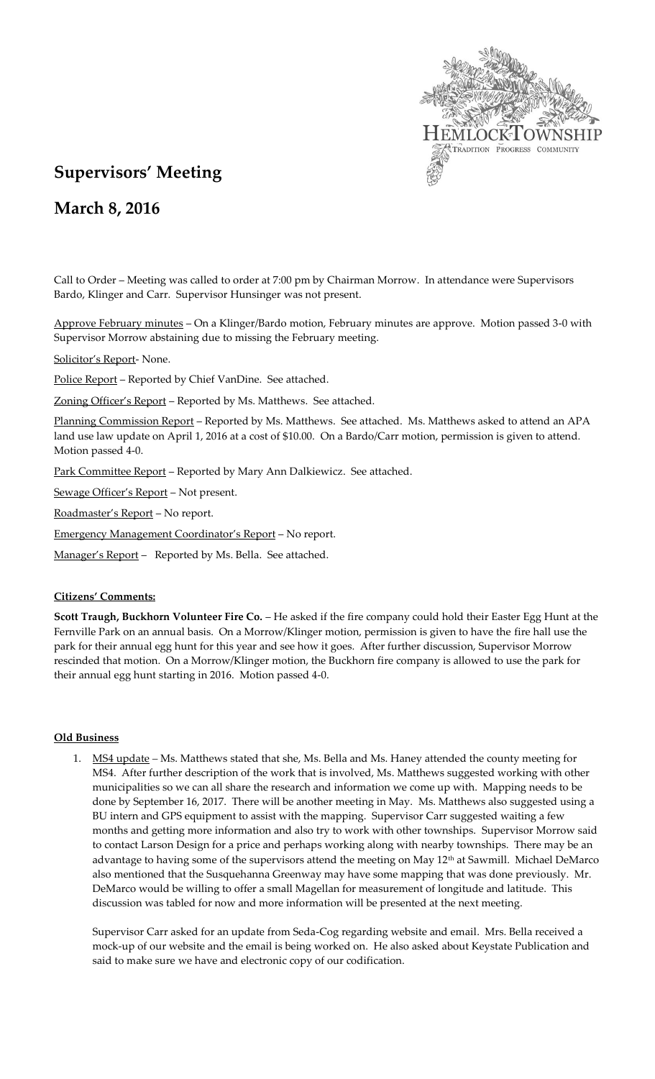

# **Supervisors' Meeting**

**March 8, 2016**

Call to Order – Meeting was called to order at 7:00 pm by Chairman Morrow. In attendance were Supervisors Bardo, Klinger and Carr. Supervisor Hunsinger was not present.

Approve February minutes – On a Klinger/Bardo motion, February minutes are approve. Motion passed 3-0 with Supervisor Morrow abstaining due to missing the February meeting.

Solicitor's Report- None.

Police Report - Reported by Chief VanDine. See attached.

Zoning Officer's Report – Reported by Ms. Matthews. See attached.

Planning Commission Report - Reported by Ms. Matthews. See attached. Ms. Matthews asked to attend an APA land use law update on April 1, 2016 at a cost of \$10.00. On a Bardo/Carr motion, permission is given to attend. Motion passed 4-0.

Park Committee Report – Reported by Mary Ann Dalkiewicz. See attached.

Sewage Officer's Report – Not present.

Roadmaster's Report – No report.

Emergency Management Coordinator's Report – No report.

Manager's Report - Reported by Ms. Bella. See attached.

# **Citizens' Comments:**

**Scott Traugh, Buckhorn Volunteer Fire Co.** – He asked if the fire company could hold their Easter Egg Hunt at the Fernville Park on an annual basis. On a Morrow/Klinger motion, permission is given to have the fire hall use the park for their annual egg hunt for this year and see how it goes. After further discussion, Supervisor Morrow rescinded that motion. On a Morrow/Klinger motion, the Buckhorn fire company is allowed to use the park for their annual egg hunt starting in 2016. Motion passed 4-0.

# **Old Business**

1. MS4 update *–* Ms. Matthews stated that she, Ms. Bella and Ms. Haney attended the county meeting for MS4. After further description of the work that is involved, Ms. Matthews suggested working with other municipalities so we can all share the research and information we come up with. Mapping needs to be done by September 16, 2017. There will be another meeting in May. Ms. Matthews also suggested using a BU intern and GPS equipment to assist with the mapping. Supervisor Carr suggested waiting a few months and getting more information and also try to work with other townships. Supervisor Morrow said to contact Larson Design for a price and perhaps working along with nearby townships. There may be an advantage to having some of the supervisors attend the meeting on May 12<sup>th</sup> at Sawmill. Michael DeMarco also mentioned that the Susquehanna Greenway may have some mapping that was done previously. Mr. DeMarco would be willing to offer a small Magellan for measurement of longitude and latitude. This discussion was tabled for now and more information will be presented at the next meeting.

Supervisor Carr asked for an update from Seda-Cog regarding website and email. Mrs. Bella received a mock-up of our website and the email is being worked on. He also asked about Keystate Publication and said to make sure we have and electronic copy of our codification.